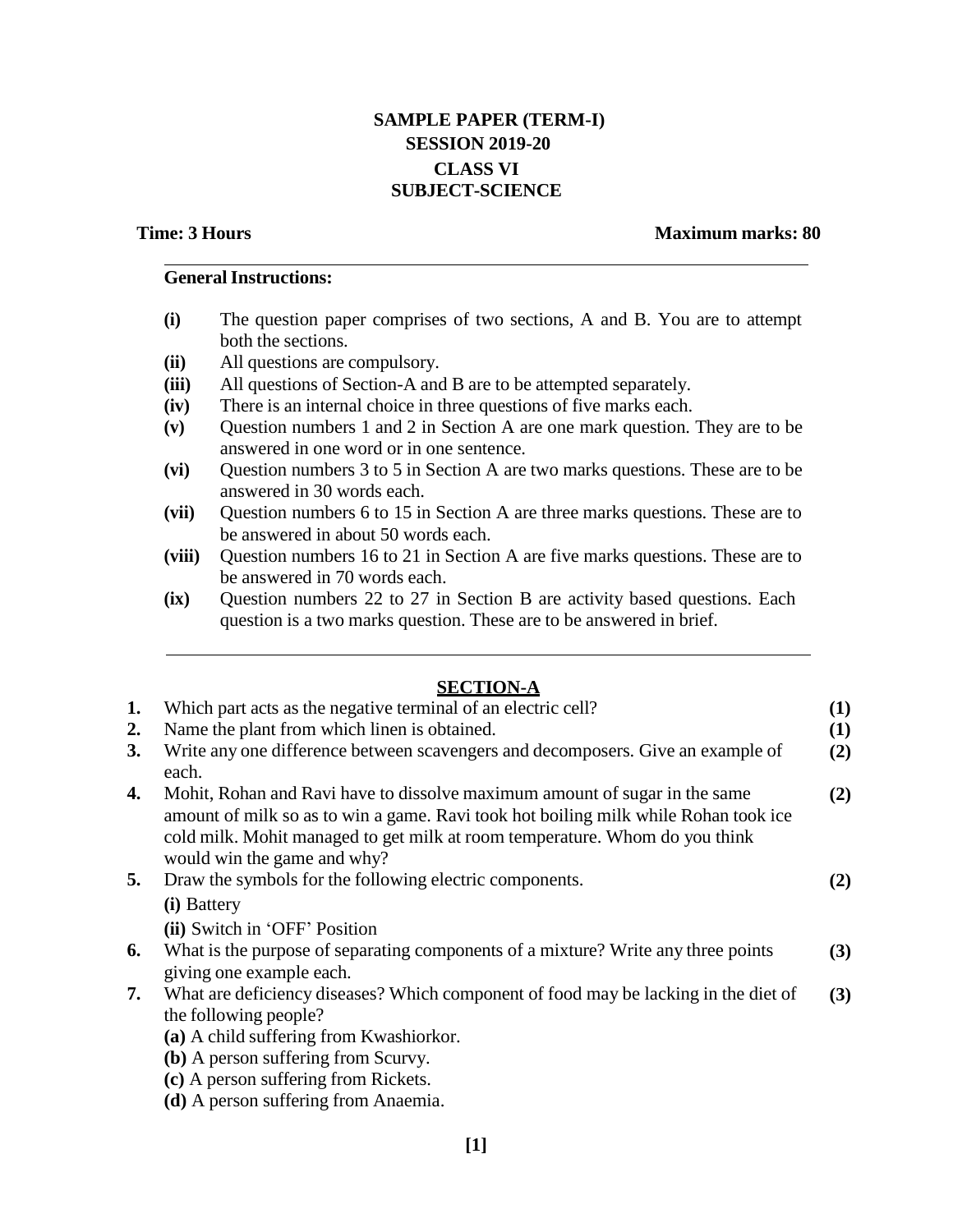# **SAMPLE PAPER (TERM-I) SESSION 2019-20 CLASS VI SUBJECT-SCIENCE**

## **Time: 3 Hours Maximum marks: 80**

# **GeneralInstructions:**

- **(i)** The question paper comprises of two sections, A and B. You are to attempt both the sections.
- **(ii)** All questions are compulsory.
- **(iii)** All questions of Section-A and B are to be attempted separately.
- **(iv)** There is an internal choice in three questions of five marks each.
- **(v)** Question numbers 1 and 2 in Section A are one mark question. They are to be answered in one word or in one sentence.
- **(vi)** Question numbers 3 to 5 in Section A are two marks questions. These are to be answered in 30 words each.
- **(vii)** Question numbers 6 to 15 in Section A are three marks questions. These are to be answered in about 50 words each.
- **(viii)** Question numbers 16 to 21 in Section A are five marks questions. These are to be answered in 70 words each.
- **(ix)** Question numbers 22 to 27 in Section B are activity based questions. Each question is a two marks question. These are to be answered in brief.

# **SECTION-A**

|    | <u>JUVIIVI II</u>                                                                                                                                                                                                                                                               |          |
|----|---------------------------------------------------------------------------------------------------------------------------------------------------------------------------------------------------------------------------------------------------------------------------------|----------|
| 1. | Which part acts as the negative terminal of an electric cell?                                                                                                                                                                                                                   | (1)      |
| 2. | Name the plant from which linen is obtained.                                                                                                                                                                                                                                    | $\bf(1)$ |
| 3. | Write any one difference between scavengers and decomposers. Give an example of<br>each.                                                                                                                                                                                        | (2)      |
| 4. | Mohit, Rohan and Ravi have to dissolve maximum amount of sugar in the same<br>amount of milk so as to win a game. Ravi took hot boiling milk while Rohan took ice<br>cold milk. Mohit managed to get milk at room temperature. Whom do you think<br>would win the game and why? | (2)      |
| 5. | Draw the symbols for the following electric components.                                                                                                                                                                                                                         | (2)      |
|    | (i) Battery                                                                                                                                                                                                                                                                     |          |
|    | (ii) Switch in 'OFF' Position                                                                                                                                                                                                                                                   |          |
| 6. | What is the purpose of separating components of a mixture? Write any three points<br>giving one example each.                                                                                                                                                                   | (3)      |
| 7. | What are deficiency diseases? Which component of food may be lacking in the diet of                                                                                                                                                                                             | (3)      |
|    | the following people?                                                                                                                                                                                                                                                           |          |
|    | (a) A child suffering from Kwashiorkor.                                                                                                                                                                                                                                         |          |
|    | (b) A person suffering from Scurvy.                                                                                                                                                                                                                                             |          |
|    | (c) A person suffering from Rickets.                                                                                                                                                                                                                                            |          |
|    | (d) A person suffering from Anaemia.                                                                                                                                                                                                                                            |          |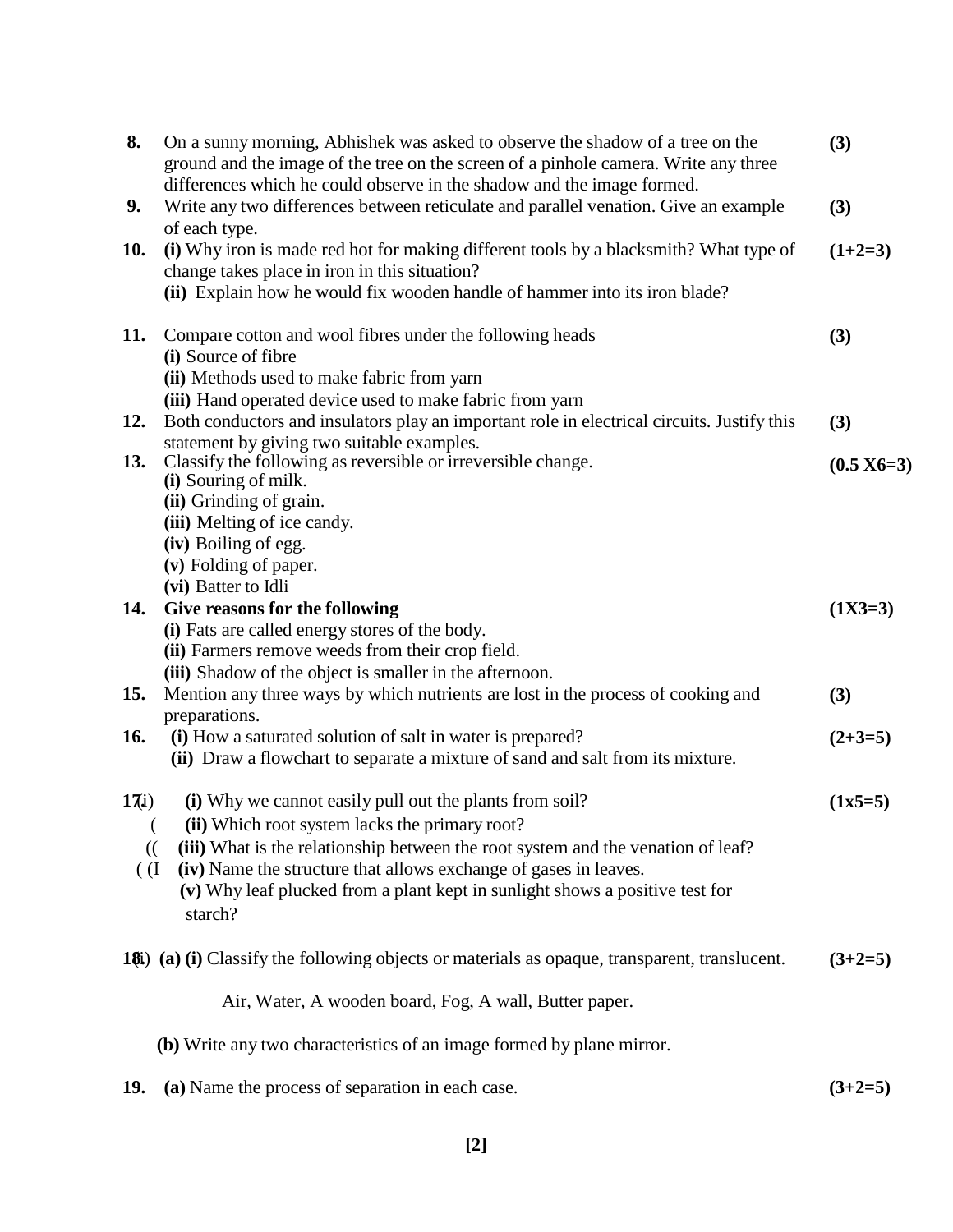| 8.                           | On a sunny morning, Abhishek was asked to observe the shadow of a tree on the<br>ground and the image of the tree on the screen of a pinhole camera. Write any three<br>differences which he could observe in the shadow and the image formed.                                                                                                               | (3)          |
|------------------------------|--------------------------------------------------------------------------------------------------------------------------------------------------------------------------------------------------------------------------------------------------------------------------------------------------------------------------------------------------------------|--------------|
| 9.                           | Write any two differences between reticulate and parallel venation. Give an example<br>of each type.                                                                                                                                                                                                                                                         | (3)          |
| 10.                          | (i) Why iron is made red hot for making different tools by a blacksmith? What type of<br>change takes place in iron in this situation?<br>(ii) Explain how he would fix wooden handle of hammer into its iron blade?                                                                                                                                         | $(1+2=3)$    |
| 11.                          | Compare cotton and wool fibres under the following heads<br>(i) Source of fibre<br>(ii) Methods used to make fabric from yarn<br>(iii) Hand operated device used to make fabric from yarn                                                                                                                                                                    | (3)          |
| 12.                          | Both conductors and insulators play an important role in electrical circuits. Justify this                                                                                                                                                                                                                                                                   | (3)          |
| 13.                          | statement by giving two suitable examples.<br>Classify the following as reversible or irreversible change.<br>(i) Souring of milk.                                                                                                                                                                                                                           | $(0.5 X6=3)$ |
|                              | (ii) Grinding of grain.<br>(iii) Melting of ice candy.<br>(iv) Boiling of egg.<br>(v) Folding of paper.<br>(vi) Batter to Idli                                                                                                                                                                                                                               |              |
| 14.                          | Give reasons for the following<br>(i) Fats are called energy stores of the body.<br>(ii) Farmers remove weeds from their crop field.<br>(iii) Shadow of the object is smaller in the afternoon.                                                                                                                                                              | $(1X3=3)$    |
| 15.                          | Mention any three ways by which nutrients are lost in the process of cooking and                                                                                                                                                                                                                                                                             | (3)          |
| 16.                          | preparations.<br>(i) How a saturated solution of salt in water is prepared?<br>(ii) Draw a flowchart to separate a mixture of sand and salt from its mixture.                                                                                                                                                                                                | $(2+3=5)$    |
| 17i)<br>$\mathcal{L}$<br>(I) | (i) Why we cannot easily pull out the plants from soil?<br>(ii) Which root system lacks the primary root?<br>(iii) What is the relationship between the root system and the venation of leaf?<br>(iv) Name the structure that allows exchange of gases in leaves.<br>(v) Why leaf plucked from a plant kept in sunlight shows a positive test for<br>starch? | $(1x5=5)$    |
|                              | 18 <i>i</i> ) (a) (i) Classify the following objects or materials as opaque, transparent, translucent.                                                                                                                                                                                                                                                       | $(3+2=5)$    |
|                              | Air, Water, A wooden board, Fog, A wall, Butter paper.                                                                                                                                                                                                                                                                                                       |              |
|                              | (b) Write any two characteristics of an image formed by plane mirror.                                                                                                                                                                                                                                                                                        |              |
|                              |                                                                                                                                                                                                                                                                                                                                                              |              |

**19. (a)** Name the process of separation in each case. **(3+2=5)**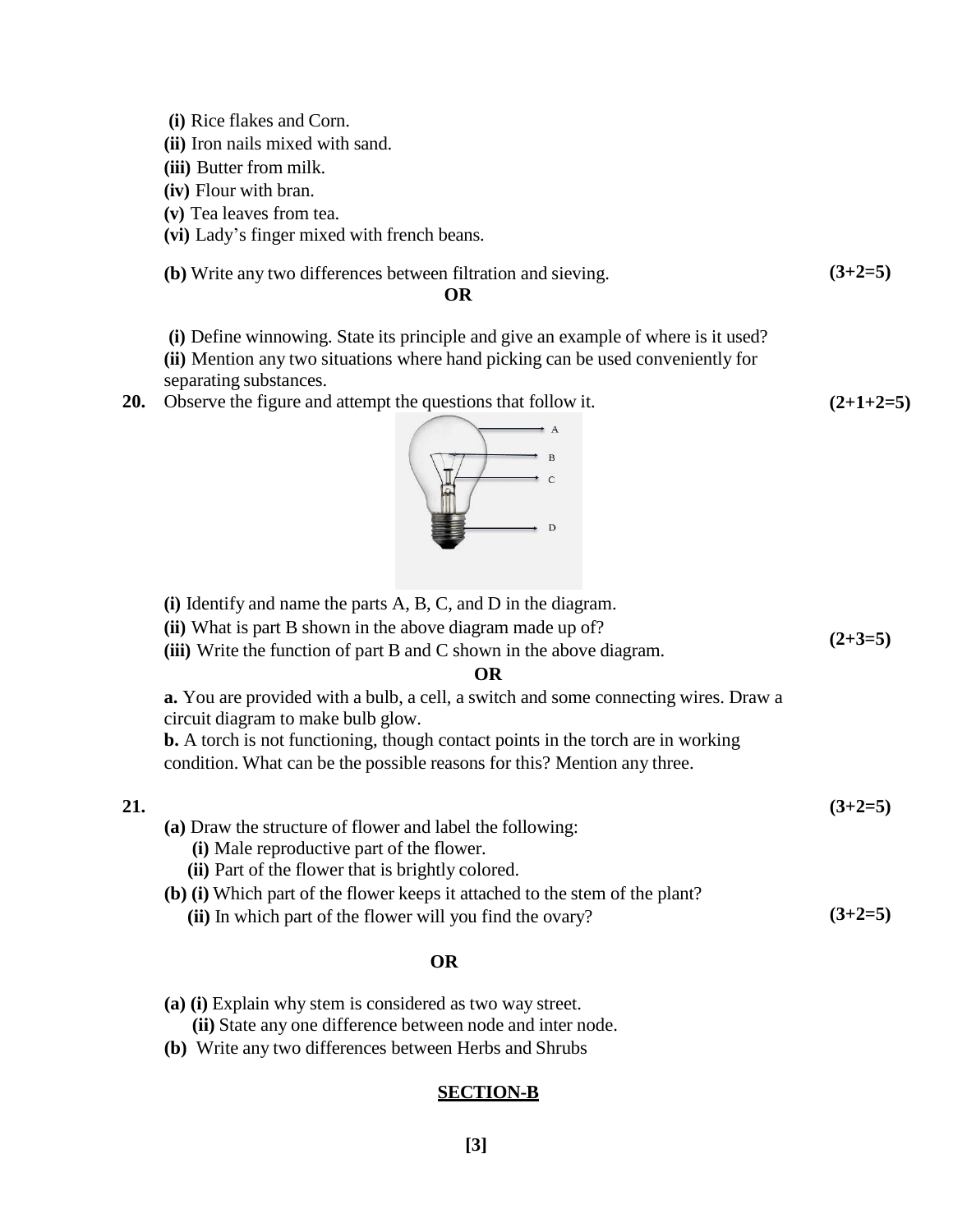**(i)** Rice flakes and Corn.

- **(ii)** Iron nails mixed with sand.
- **(iii)** Butter from milk.
- **(iv)** Flour with bran.
- **(v)** Tea leaves from tea.
- **(vi)** Lady's finger mixed with french beans.

**(b)** Write any two differences between filtration and sieving. 
$$
(3+2=5)
$$

**(2+1+2=5)**

## **OR**

**(i)** Define winnowing. State its principle and give an example of where is it used?

- **(ii)** Mention any two situations where hand picking can be used conveniently for separating substances.
- **20.** Observe the figure and attempt the questions that follow it.



|     | (i) Identify and name the parts $A$ , $B$ , $C$ , and $D$ in the diagram.                                                        |           |
|-----|----------------------------------------------------------------------------------------------------------------------------------|-----------|
|     | (ii) What is part B shown in the above diagram made up of?                                                                       |           |
|     | (iii) Write the function of part B and C shown in the above diagram.                                                             | $(2+3=5)$ |
|     | OR                                                                                                                               |           |
|     | <b>a.</b> You are provided with a bulb, a cell, a switch and some connecting wires. Draw a<br>circuit diagram to make bulb glow. |           |
|     | <b>b.</b> A torch is not functioning, though contact points in the torch are in working                                          |           |
|     | condition. What can be the possible reasons for this? Mention any three.                                                         |           |
| 21. |                                                                                                                                  | $(3+2=5)$ |
|     | (a) Draw the structure of flower and label the following:                                                                        |           |
|     | (i) Male reproductive part of the flower.                                                                                        |           |
|     | (ii) Part of the flower that is brightly colored.                                                                                |           |
|     | (b) (i) Which part of the flower keeps it attached to the stem of the plant?                                                     |           |
|     | (ii) In which part of the flower will you find the ovary?                                                                        | $(3+2=5)$ |
|     | <b>OR</b>                                                                                                                        |           |

- **(a) (i)** Explain why stem is considered as two way street. **(ii)** State any one difference between node and inter node.
- **(b)** Write any two differences between Herbs and Shrubs

## **SECTION-B**